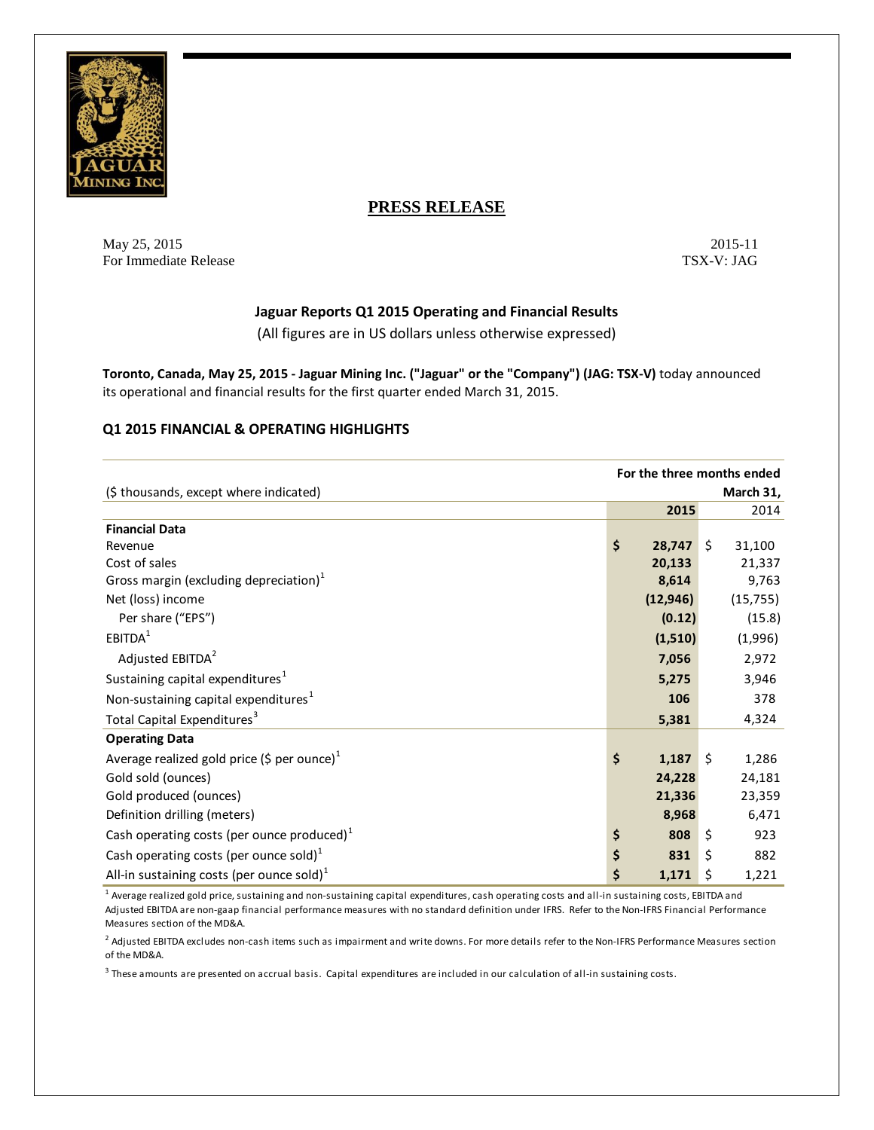

# **PRESS RELEASE**

May 25, 2015 2015 2015 2015 For Immediate Release TSX-V: JAG

# **Jaguar Reports Q1 2015 Operating and Financial Results**

(All figures are in US dollars unless otherwise expressed)

**Toronto, Canada, May 25, 2015 - Jaguar Mining Inc. ("Jaguar" or the "Company") (JAG: TSX-V)** today announced its operational and financial results for the first quarter ended March 31, 2015.

### **Q1 2015 FINANCIAL & OPERATING HIGHLIGHTS**

|                                                    | For the three months ended |            |    |           |
|----------------------------------------------------|----------------------------|------------|----|-----------|
| (\$ thousands, except where indicated)             |                            |            |    | March 31, |
|                                                    |                            | 2015       |    | 2014      |
| <b>Financial Data</b>                              |                            |            |    |           |
| Revenue                                            | \$                         | 28,747     | \$ | 31,100    |
| Cost of sales                                      |                            | 20,133     |    | 21,337    |
| Gross margin (excluding depreciation) $1$          |                            | 8,614      |    | 9,763     |
| Net (loss) income                                  |                            | (12, 946)  |    | (15, 755) |
| Per share ("EPS")                                  |                            | (0.12)     |    | (15.8)    |
| EBITDA <sup>1</sup>                                |                            | (1,510)    |    | (1,996)   |
| Adjusted EBITDA <sup>2</sup>                       |                            | 7,056      |    | 2,972     |
| Sustaining capital expenditures <sup>1</sup>       |                            | 5,275      |    | 3,946     |
| Non-sustaining capital expenditures <sup>1</sup>   |                            | 106        |    | 378       |
| Total Capital Expenditures <sup>3</sup>            |                            | 5,381      |    | 4,324     |
| <b>Operating Data</b>                              |                            |            |    |           |
| Average realized gold price (\$ per ounce) $1$     | \$                         | $1,187$ \$ |    | 1,286     |
| Gold sold (ounces)                                 |                            | 24,228     |    | 24,181    |
| Gold produced (ounces)                             |                            | 21,336     |    | 23,359    |
| Definition drilling (meters)                       |                            | 8,968      |    | 6,471     |
| Cash operating costs (per ounce produced) $1$      | \$                         | 808        | \$ | 923       |
| Cash operating costs (per ounce sold) <sup>1</sup> | \$                         | 831        | \$ | 882       |
| All-in sustaining costs (per ounce sold) $1$       | \$                         | 1,171      | \$ | 1,221     |

 $^{\rm 1}$  Average realized gold price, sustaining and non-sustaining capital expenditures, cash operating costs and all-in sustaining costs, EBITDA and Adjusted EBITDA are non-gaap financial performance measures with no standard definition under IFRS. Refer to the Non-IFRS Financial Performance Measures section of the MD&A.

<sup>2</sup> Adjusted EBITDA excludes non-cash items such as impairment and write downs. For more details refer to the Non-IFRS Performance Measures section of the MD&A.

 $^3$  These amounts are presented on accrual basis. Capital expenditures are included in our calculation of all-in sustaining costs.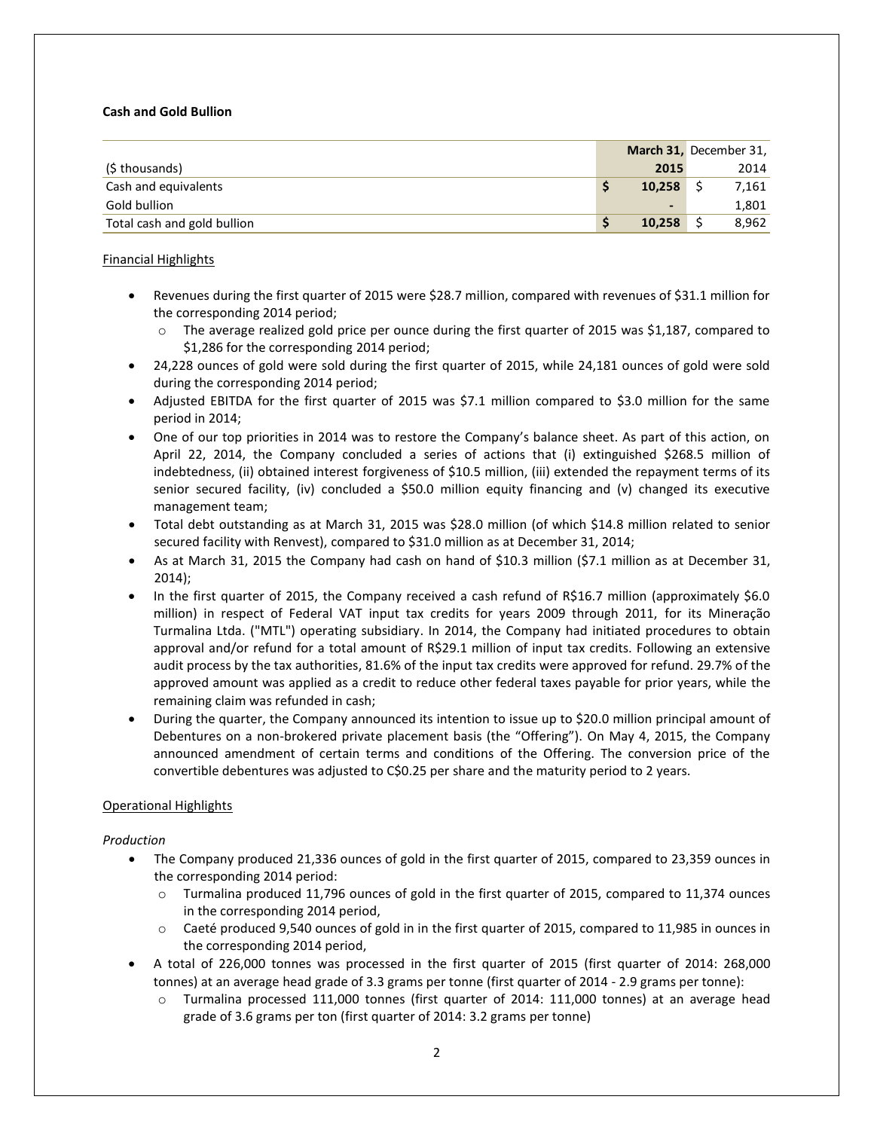### **Cash and Gold Bullion**

|                             |                          | March 31, December 31, |
|-----------------------------|--------------------------|------------------------|
| (\$ thousands)              | 2015                     | 2014                   |
| Cash and equivalents        | 10,258                   | 7,161                  |
| Gold bullion                | $\overline{\phantom{0}}$ | 1,801                  |
| Total cash and gold bullion | 10,258                   | 8,962                  |

## Financial Highlights

- Revenues during the first quarter of 2015 were \$28.7 million, compared with revenues of \$31.1 million for the corresponding 2014 period;
	- The average realized gold price per ounce during the first quarter of 2015 was \$1,187, compared to \$1,286 for the corresponding 2014 period;
- 24,228 ounces of gold were sold during the first quarter of 2015, while 24,181 ounces of gold were sold during the corresponding 2014 period;
- Adjusted EBITDA for the first quarter of 2015 was \$7.1 million compared to \$3.0 million for the same period in 2014;
- One of our top priorities in 2014 was to restore the Company's balance sheet. As part of this action, on April 22, 2014, the Company concluded a series of actions that (i) extinguished \$268.5 million of indebtedness, (ii) obtained interest forgiveness of \$10.5 million, (iii) extended the repayment terms of its senior secured facility, (iv) concluded a \$50.0 million equity financing and (v) changed its executive management team;
- Total debt outstanding as at March 31, 2015 was \$28.0 million (of which \$14.8 million related to senior secured facility with Renvest), compared to \$31.0 million as at December 31, 2014;
- As at March 31, 2015 the Company had cash on hand of \$10.3 million (\$7.1 million as at December 31, 2014);
- In the first quarter of 2015, the Company received a cash refund of R\$16.7 million (approximately \$6.0 million) in respect of Federal VAT input tax credits for years 2009 through 2011, for its Mineração Turmalina Ltda. ("MTL") operating subsidiary. In 2014, the Company had initiated procedures to obtain approval and/or refund for a total amount of R\$29.1 million of input tax credits. Following an extensive audit process by the tax authorities, 81.6% of the input tax credits were approved for refund. 29.7% of the approved amount was applied as a credit to reduce other federal taxes payable for prior years, while the remaining claim was refunded in cash;
- During the quarter, the Company announced its intention to issue up to \$20.0 million principal amount of Debentures on a non-brokered private placement basis (the "Offering"). On May 4, 2015, the Company announced amendment of certain terms and conditions of the Offering. The conversion price of the convertible debentures was adjusted to C\$0.25 per share and the maturity period to 2 years.

# Operational Highlights

### *Production*

- The Company produced 21,336 ounces of gold in the first quarter of 2015, compared to 23,359 ounces in the corresponding 2014 period:
	- o Turmalina produced 11,796 ounces of gold in the first quarter of 2015, compared to 11,374 ounces in the corresponding 2014 period,
	- o Caeté produced 9,540 ounces of gold in in the first quarter of 2015, compared to 11,985 in ounces in the corresponding 2014 period,
- A total of 226,000 tonnes was processed in the first quarter of 2015 (first quarter of 2014: 268,000 tonnes) at an average head grade of 3.3 grams per tonne (first quarter of 2014 - 2.9 grams per tonne):
	- o Turmalina processed 111,000 tonnes (first quarter of 2014: 111,000 tonnes) at an average head grade of 3.6 grams per ton (first quarter of 2014: 3.2 grams per tonne)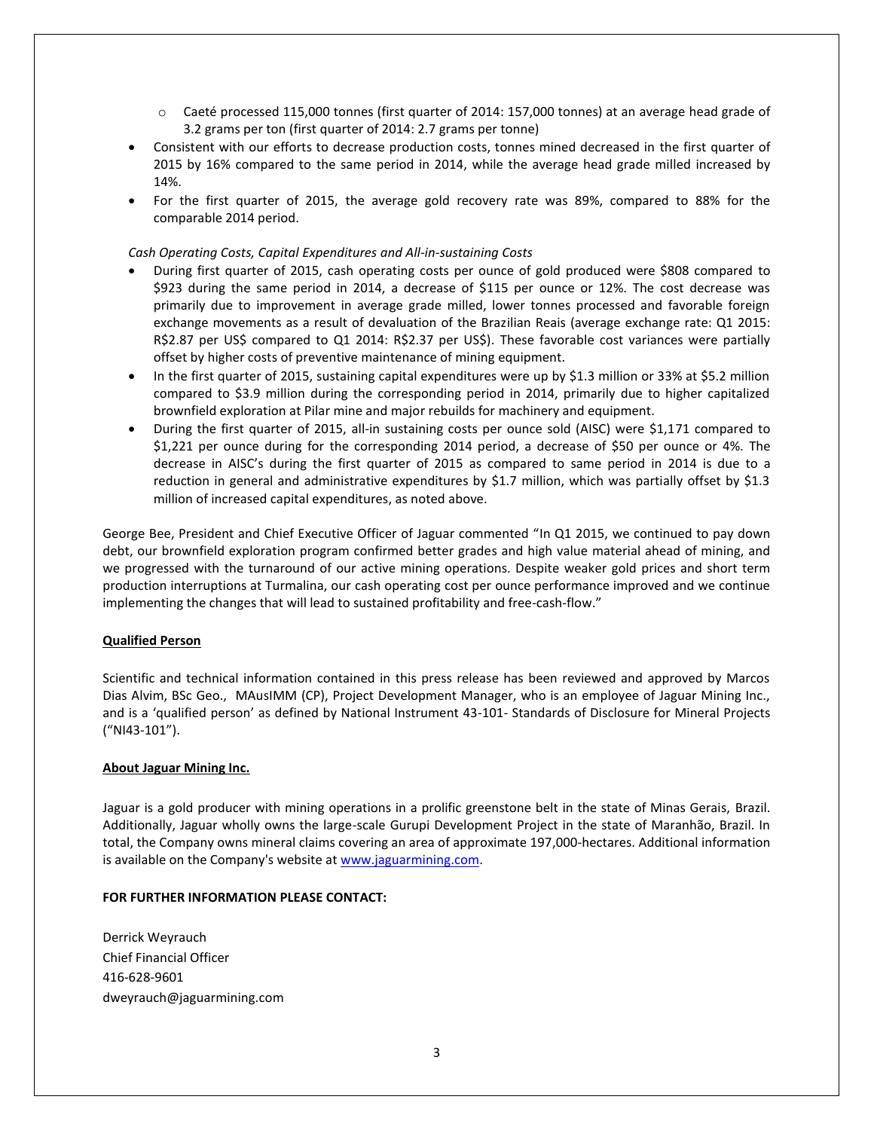- o Caeté processed 115,000 tonnes (first quarter of 2014: 157,000 tonnes) at an average head grade of 3.2 grams per ton (first quarter of 2014: 2.7 grams per tonne)
- Consistent with our efforts to decrease production costs, tonnes mined decreased in the first quarter of 2015 by 16% compared to the same period in 2014, while the average head grade milled increased by 14%.
- For the first quarter of 2015, the average gold recovery rate was 89%, compared to 88% for the comparable 2014 period.

### *Cash Operating Costs, Capital Expenditures and All-in-sustaining Costs*

- During first quarter of 2015, cash operating costs per ounce of gold produced were \$808 compared to \$923 during the same period in 2014, a decrease of \$115 per ounce or 12%. The cost decrease was primarily due to improvement in average grade milled, lower tonnes processed and favorable foreign exchange movements as a result of devaluation of the Brazilian Reais (average exchange rate: Q1 2015: R\$2.87 per US\$ compared to Q1 2014: R\$2.37 per US\$). These favorable cost variances were partially offset by higher costs of preventive maintenance of mining equipment.
- In the first quarter of 2015, sustaining capital expenditures were up by \$1.3 million or 33% at \$5.2 million compared to \$3.9 million during the corresponding period in 2014, primarily due to higher capitalized brownfield exploration at Pilar mine and major rebuilds for machinery and equipment.
- During the first quarter of 2015, all-in sustaining costs per ounce sold (AISC) were \$1,171 compared to \$1,221 per ounce during for the corresponding 2014 period, a decrease of \$50 per ounce or 4%. The decrease in AISC's during the first quarter of 2015 as compared to same period in 2014 is due to a reduction in general and administrative expenditures by \$1.7 million, which was partially offset by \$1.3 million of increased capital expenditures, as noted above.

George Bee, President and Chief Executive Officer of Jaguar commented "In Q1 2015, we continued to pay down debt, our brownfield exploration program confirmed better grades and high value material ahead of mining, and we progressed with the turnaround of our active mining operations. Despite weaker gold prices and short term production interruptions at Turmalina, our cash operating cost per ounce performance improved and we continue implementing the changes that will lead to sustained profitability and free-cash-flow."

### **Qualified Person**

Scientific and technical information contained in this press release has been reviewed and approved by Marcos Dias Alvim, BSc Geo., MAusIMM (CP), Project Development Manager, who is an employee of Jaguar Mining Inc., and is a 'qualified person' as defined by National Instrument 43-101- Standards of Disclosure for Mineral Projects ("NI43-101").

### **About Jaguar Mining Inc.**

Jaguar is a gold producer with mining operations in a prolific greenstone belt in the state of Minas Gerais, Brazil. Additionally, Jaguar wholly owns the large-scale Gurupi Development Project in the state of Maranhão, Brazil. In total, the Company owns mineral claims covering an area of approximate 197,000-hectares. Additional information is available on the Company's website a[t www.jaguarmining.com.](http://www.jaguarmining.com/)

### **FOR FURTHER INFORMATION PLEASE CONTACT:**

Derrick Weyrauch Chief Financial Officer 416-628-9601 dweyrauch@jaguarmining.com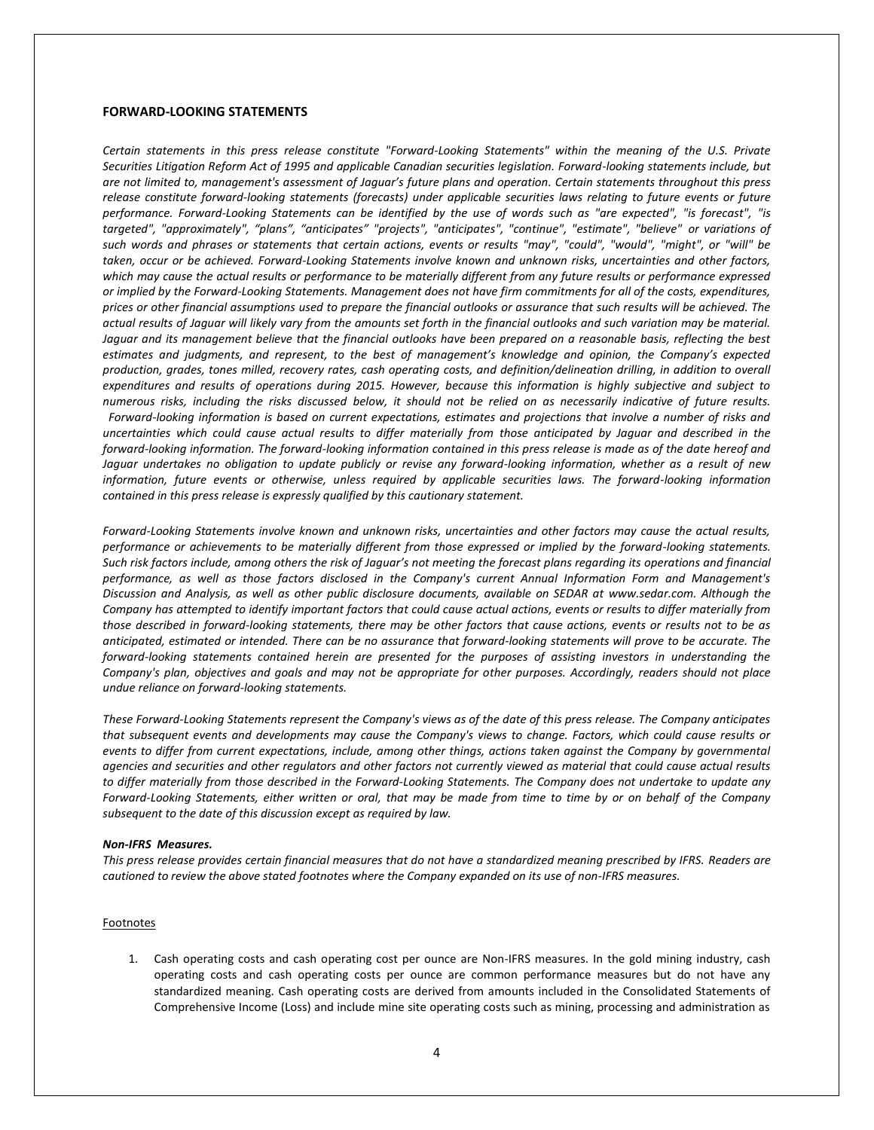#### **FORWARD-LOOKING STATEMENTS**

*Certain statements in this press release constitute "Forward-Looking Statements" within the meaning of the U.S. Private Securities Litigation Reform Act of 1995 and applicable Canadian securities legislation. Forward-looking statements include, but are not limited to, management's assessment of Jaguar's future plans and operation. Certain statements throughout this press release constitute forward-looking statements (forecasts) under applicable securities laws relating to future events or future performance. Forward-Looking Statements can be identified by the use of words such as "are expected", "is forecast", "is targeted", "approximately", "plans", "anticipates" "projects", "anticipates", "continue", "estimate", "believe" or variations of such words and phrases or statements that certain actions, events or results "may", "could", "would", "might", or "will" be taken, occur or be achieved. Forward-Looking Statements involve known and unknown risks, uncertainties and other factors, which may cause the actual results or performance to be materially different from any future results or performance expressed or implied by the Forward-Looking Statements. Management does not have firm commitments for all of the costs, expenditures, prices or other financial assumptions used to prepare the financial outlooks or assurance that such results will be achieved. The actual results of Jaguar will likely vary from the amounts set forth in the financial outlooks and such variation may be material. Jaguar and its management believe that the financial outlooks have been prepared on a reasonable basis, reflecting the best estimates and judgments, and represent, to the best of management's knowledge and opinion, the Company's expected production, grades, tones milled, recovery rates, cash operating costs, and definition/delineation drilling, in addition to overall expenditures and results of operations during 2015. However, because this information is highly subjective and subject to numerous risks, including the risks discussed below, it should not be relied on as necessarily indicative of future results. Forward-looking information is based on current expectations, estimates and projections that involve a number of risks and uncertainties which could cause actual results to differ materially from those anticipated by Jaguar and described in the forward-looking information. The forward-looking information contained in this press release is made as of the date hereof and Jaguar undertakes no obligation to update publicly or revise any forward-looking information, whether as a result of new information, future events or otherwise, unless required by applicable securities laws. The forward-looking information contained in this press release is expressly qualified by this cautionary statement.*

*Forward-Looking Statements involve known and unknown risks, uncertainties and other factors may cause the actual results, performance or achievements to be materially different from those expressed or implied by the forward-looking statements. Such risk factors include, among others the risk of Jaguar's not meeting the forecast plans regarding its operations and financial performance, as well as those factors disclosed in the Company's current Annual Information Form and Management's Discussion and Analysis, as well as other public disclosure documents, available on SEDAR at [www.sedar.com.](http://ctt.marketwire.com/?release=11G024359-001&id=4845826&type=0&url=http%3a%2f%2fwww.sedar.com) Although the Company has attempted to identify important factors that could cause actual actions, events or results to differ materially from those described in forward-looking statements, there may be other factors that cause actions, events or results not to be as anticipated, estimated or intended. There can be no assurance that forward-looking statements will prove to be accurate. The forward-looking statements contained herein are presented for the purposes of assisting investors in understanding the Company's plan, objectives and goals and may not be appropriate for other purposes. Accordingly, readers should not place undue reliance on forward-looking statements.*

*These Forward-Looking Statements represent the Company's views as of the date of this press release. The Company anticipates that subsequent events and developments may cause the Company's views to change. Factors, which could cause results or events to differ from current expectations, include, among other things, actions taken against the Company by governmental agencies and securities and other regulators and other factors not currently viewed as material that could cause actual results to differ materially from those described in the Forward-Looking Statements. The Company does not undertake to update any Forward-Looking Statements, either written or oral, that may be made from time to time by or on behalf of the Company subsequent to the date of this discussion except as required by law.* 

#### *Non-IFRS Measures.*

*This press release provides certain financial measures that do not have a standardized meaning prescribed by IFRS. Readers are cautioned to review the above stated footnotes where the Company expanded on its use of non-IFRS measures.*

#### **Footnotes**

1. Cash operating costs and cash operating cost per ounce are Non-IFRS measures. In the gold mining industry, cash operating costs and cash operating costs per ounce are common performance measures but do not have any standardized meaning. Cash operating costs are derived from amounts included in the Consolidated Statements of Comprehensive Income (Loss) and include mine site operating costs such as mining, processing and administration as